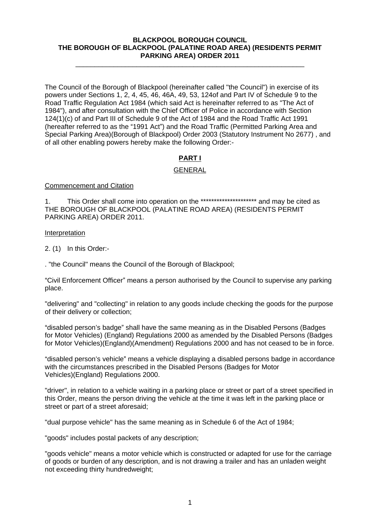#### **BLACKPOOL BOROUGH COUNCIL THE BOROUGH OF BLACKPOOL (PALATINE ROAD AREA) (RESIDENTS PERMIT PARKING AREA) ORDER 2011**

\_\_\_\_\_\_\_\_\_\_\_\_\_\_\_\_\_\_\_\_\_\_\_\_\_\_\_\_\_\_\_\_\_\_\_\_\_\_\_\_\_\_\_\_\_\_\_\_\_\_\_\_\_\_\_\_\_\_\_\_

The Council of the Borough of Blackpool (hereinafter called "the Council") in exercise of its powers under Sections 1, 2, 4, 45, 46, 46A, 49, 53, 124of and Part IV of Schedule 9 to the Road Traffic Regulation Act 1984 (which said Act is hereinafter referred to as "The Act of 1984"), and after consultation with the Chief Officer of Police in accordance with Section 124(1)(c) of and Part III of Schedule 9 of the Act of 1984 and the Road Traffic Act 1991 (hereafter referred to as the "1991 Act") and the Road Traffic (Permitted Parking Area and Special Parking Area)(Borough of Blackpool) Order 2003 (Statutory Instrument No 2677) , and of all other enabling powers hereby make the following Order:-

# **PART I**

## GENERAL

Commencement and Citation

1. This Order shall come into operation on the \*\*\*\*\*\*\*\*\*\*\*\*\*\*\*\*\*\*\*\*\* and may be cited as THE BOROUGH OF BLACKPOOL (PALATINE ROAD AREA) (RESIDENTS PERMIT PARKING AREA) ORDER 2011.

#### Interpretation

2. (1) In this Order:-

. "the Council" means the Council of the Borough of Blackpool;

"Civil Enforcement Officer" means a person authorised by the Council to supervise any parking place. The contract of the contract of the contract of the contract of the contract of the contract of the contract of the contract of the contract of the contract of the contract of the contract of the contract of the con

"delivering" and "collecting" in relation to any goods include checking the goods for the purpose of their delivery or collection;

"disabled person's badge" shall have the same meaning as in the Disabled Persons (Badges for Motor Vehicles) (England) Regulations 2000 as amended by the Disabled Persons (Badges for Motor Vehicles)(England)(Amendment) Regulations 2000 and has not ceased to be in force.

"disabled person's vehicle" means a vehicle displaying a disabled persons badge in accordance with the circumstances prescribed in the Disabled Persons (Badges for Motor Vehicles)(England) Regulations 2000.

"driver", in relation to a vehicle waiting in a parking place or street or part of a street specified in this Order, means the person driving the vehicle at the time it was left in the parking place or street or part of a street aforesaid;

"dual purpose vehicle" has the same meaning as in Schedule 6 of the Act of 1984;

"goods" includes postal packets of any description;

"goods vehicle" means a motor vehicle which is constructed or adapted for use for the carriage of goods or burden of any description, and is not drawing a trailer and has an unladen weight not exceeding thirty hundredweight;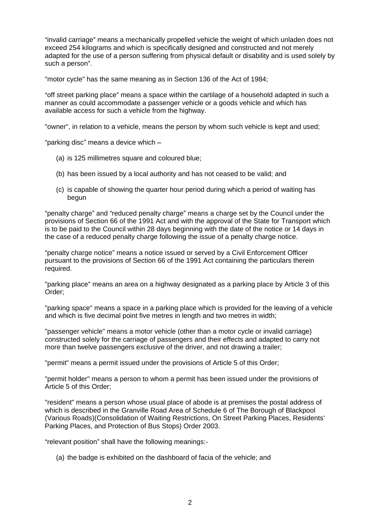"invalid carriage" means a mechanically propelled vehicle the weight of which unladen does not exceed 254 kilograms and which is specifically designed and constructed and not merely adapted for the use of a person suffering from physical default or disability and is used solely by such a person". The contract of the contract of the contract of the contract of the contract of the contract of the contract of the contract of the contract of the contract of the contract of the contract of the contract o

"motor cycle" has the same meaning as in Section 136 of the Act of 1984;

"off street parking place" means a space within the cartilage of a household adapted in such a manner as could accommodate a passenger vehicle or a goods vehicle and which has available access for such a vehicle from the highway.

"owner", in relation to a vehicle, means the person by whom such vehicle is kept and used;

"parking disc" means a device which  $-$ 

- (a) is 125 millimetres square and coloured blue;
- (b) has been issued by a local authority and has not ceased to be valid; and
- (c) is capable of showing the quarter hour period during which a period of waiting has begun $\sim$  begun $\sim$  and  $\sim$  and  $\sim$  and  $\sim$  and  $\sim$  and  $\sim$  and  $\sim$  and  $\sim$  and  $\sim$  and  $\sim$

"penalty charge" and "reduced penalty charge" means a charge set by the Council under the provisions of Section 66 of the 1991 Act and with the approval of the State for Transport which is to be paid to the Council within 28 days beginning with the date of the notice or 14 days in the case of a reduced penalty charge following the issue of a penalty charge notice.

"penalty charge notice" means a notice issued or served by a Civil Enforcement Officer pursuant to the provisions of Section 66 of the 1991 Act containing the particulars therein required. The contract of the contract of the contract of the contract of the contract of the contract of the contract of the contract of the contract of the contract of the contract of the contract of the contract of the

"parking place" means an area on a highway designated as a parking place by Article 3 of this Order;

"parking space" means a space in a parking place which is provided for the leaving of a vehicle and which is five decimal point five metres in length and two metres in width;

"passenger vehicle" means a motor vehicle (other than a motor cycle or invalid carriage) constructed solely for the carriage of passengers and their effects and adapted to carry not more than twelve passengers exclusive of the driver, and not drawing a trailer;

"permit" means a permit issued under the provisions of Article 5 of this Order;

"permit holder" means a person to whom a permit has been issued under the provisions of Article 5 of this Order;

"resident" means a person whose usual place of abode is at premises the postal address of which is described in the Granville Road Area of Schedule 6 of The Borough of Blackpool (Various Roads)(Consolidation of Waiting Restrictions, On Street Parking Places, Residents Parking Places, and Protection of Bus Stops) Order 2003.

"relevant position" shall have the following meanings:-

(a) the badge is exhibited on the dashboard of facia of the vehicle; and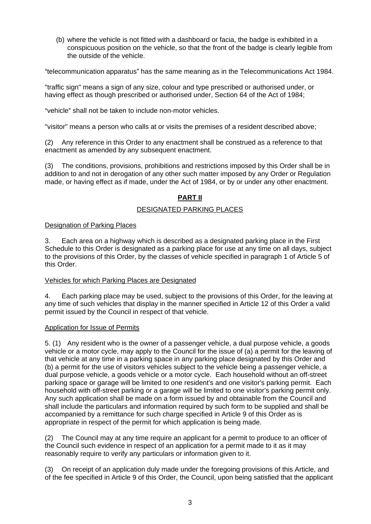(b) where the vehicle is not fitted with a dashboard or facia, the badge is exhibited in a conspicuous position on the vehicle, so that the front of the badge is clearly legible from the outside of the vehicle.

"telecommunication apparatus" has the same meaning as in the Telecommunications Act 1984.

"traffic sign" means a sign of any size, colour and type prescribed or authorised under, or having effect as though prescribed or authorised under, Section 64 of the Act of 1984;

"vehicle" shall not be taken to include non-motor vehicles.

"visitor" means a person who calls at or visits the premises of a resident described above;

(2) Any reference in this Order to any enactment shall be construed as a reference to that enactment as amended by any subsequent enactment.

(3) The conditions, provisions, prohibitions and restrictions imposed by this Order shall be in addition to and not in derogation of any other such matter imposed by any Order or Regulation made, or having effect as if made, under the Act of 1984, or by or under any other enactment.

# **PART II**

#### DESIGNATED PARKING PLACES

#### Designation of Parking Places

3. Each area on a highway which is described as a designated parking place in the First Schedule to this Order is designated as a parking place for use at any time on all days, subject to the provisions of this Order, by the classes of vehicle specified in paragraph 1 of Article 5 of this Order.

#### Vehicles for which Parking Places are Designated

4. Each parking place may be used, subject to the provisions of this Order, for the leaving at any time of such vehicles that display in the manner specified in Article 12 of this Order a valid permit issued by the Council in respect of that vehicle.

#### Application for Issue of Permits

5. (1) Any resident who is the owner of a passenger vehicle, a dual purpose vehicle, a goods vehicle or a motor cycle, may apply to the Council for the issue of (a) a permit for the leaving of that vehicle at any time in a parking space in any parking place designated by this Order and (b) a permit for the use of visitors vehicles subject to the vehicle being a passenger vehicle, a dual purpose vehicle, a goods vehicle or a motor cycle. Each household without an off-street parking space or garage will be limited to one resident's and one visitor's parking permit. Each household with off-street parking or a garage will be limited to one visitor's parking permit only. Any such application shall be made on a form issued by and obtainable from the Council and shall include the particulars and information required by such form to be supplied and shall be accompanied by a remittance for such charge specified in Article 9 of this Order as is appropriate in respect of the permit for which application is being made.

(2) The Council may at any time require an applicant for a permit to produce to an officer of the Council such evidence in respect of an application for a permit made to it as it may reasonably require to verify any particulars or information given to it.

(3) On receipt of an application duly made under the foregoing provisions of this Article, and of the fee specified in Article 9 of this Order, the Council, upon being satisfied that the applicant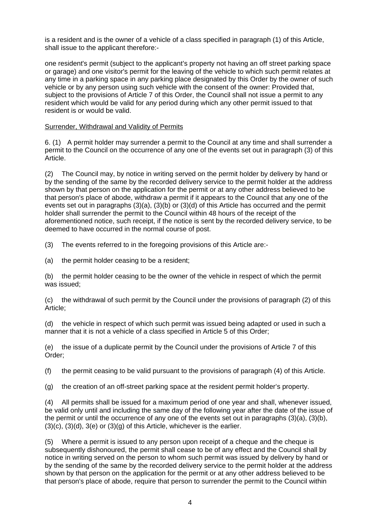is a resident and is the owner of a vehicle of a class specified in paragraph (1) of this Article, shall issue to the applicant therefore:-

one resident's permit (subject to the applicant's property not having an off street parking space or garage) and one visitor's permit for the leaving of the vehicle to which such permit relates at any time in a parking space in any parking place designated by this Order by the owner of such vehicle or by any person using such vehicle with the consent of the owner: Provided that, subject to the provisions of Article 7 of this Order, the Council shall not issue a permit to any resident which would be valid for any period during which any other permit issued to that resident is or would be valid.

#### Surrender, Withdrawal and Validity of Permits

6. (1) A permit holder may surrender a permit to the Council at any time and shall surrender a permit to the Council on the occurrence of any one of the events set out in paragraph (3) of this Article.

(2) The Council may, by notice in writing served on the permit holder by delivery by hand or by the sending of the same by the recorded delivery service to the permit holder at the address shown by that person on the application for the permit or at any other address believed to be that person's place of abode, withdraw a permit if it appears to the Council that any one of the events set out in paragraphs (3)(a), (3)(b) or (3)(d) of this Article has occurred and the permit holder shall surrender the permit to the Council within 48 hours of the receipt of the aforementioned notice, such receipt, if the notice is sent by the recorded delivery service, to be deemed to have occurred in the normal course of post.

(3) The events referred to in the foregoing provisions of this Article are:-

(a) the permit holder ceasing to be a resident;

(b) the permit holder ceasing to be the owner of the vehicle in respect of which the permit was issued; the contract of the contract of the contract of the contract of the contract of the contract of the contract of the contract of the contract of the contract of the contract of the contract of the contract of th

(c) the withdrawal of such permit by the Council under the provisions of paragraph (2) of this Article;

(d) the vehicle in respect of which such permit was issued being adapted or used in such a manner that it is not a vehicle of a class specified in Article 5 of this Order;

(e) the issue of a duplicate permit by the Council under the provisions of Article 7 of this Order;

(f) the permit ceasing to be valid pursuant to the provisions of paragraph (4) of this Article.

 $(q)$  the creation of an off-street parking space at the resident permit holder's property.

(4) All permits shall be issued for a maximum period of one year and shall, whenever issued, be valid only until and including the same day of the following year after the date of the issue of the permit or until the occurrence of any one of the events set out in paragraphs (3)(a), (3)(b),  $(3)(c)$ ,  $(3)(d)$ ,  $3(e)$  or  $(3)(g)$  of this Article, whichever is the earlier.

(5) Where a permit is issued to any person upon receipt of a cheque and the cheque is subsequently dishonoured, the permit shall cease to be of any effect and the Council shall by notice in writing served on the person to whom such permit was issued by delivery by hand or by the sending of the same by the recorded delivery service to the permit holder at the address shown by that person on the application for the permit or at any other address believed to be that person's place of abode, require that person to surrender the permit to the Council within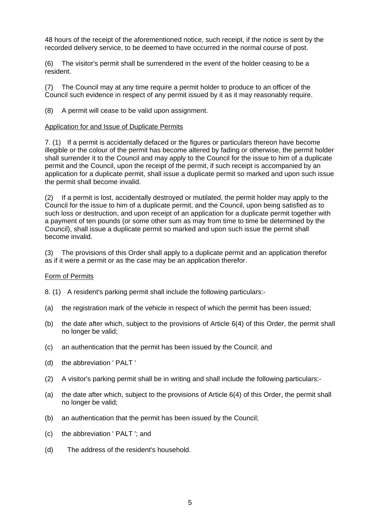48 hours of the receipt of the aforementioned notice, such receipt, if the notice is sent by the recorded delivery service, to be deemed to have occurred in the normal course of post.

(6) The visitor's permit shall be surrendered in the event of the holder ceasing to be a resident. The contract of the contract of the contract of the contract of the contract of the contract of the contract of the contract of the contract of the contract of the contract of the contract of the contract of the

(7) The Council may at any time require a permit holder to produce to an officer of the Council such evidence in respect of any permit issued by it as it may reasonably require.

(8) A permit will cease to be valid upon assignment.

#### Application for and Issue of Duplicate Permits

7. (1) If a permit is accidentally defaced or the figures or particulars thereon have become illegible or the colour of the permit has become altered by fading or otherwise, the permit holder shall surrender it to the Council and may apply to the Council for the issue to him of a duplicate permit and the Council, upon the receipt of the permit, if such receipt is accompanied by an application for a duplicate permit, shall issue a duplicate permit so marked and upon such issue the permit shall become invalid.

(2) If a permit is lost, accidentally destroyed or mutilated, the permit holder may apply to the Council for the issue to him of a duplicate permit, and the Council, upon being satisfied as to such loss or destruction, and upon receipt of an application for a duplicate permit together with a payment of ten pounds (or some other sum as may from time to time be determined by the Council), shall issue a duplicate permit so marked and upon such issue the permit shall become invalid. The comparison of the comparison of the comparison of the comparison of the comparison of the comparison of the comparison of the comparison of the comparison of the comparison of the comparison of the comp

(3) The provisions of this Order shall apply to a duplicate permit and an application therefor as if it were a permit or as the case may be an application therefor.

#### **Form of Permits** *CONTEXT CONTEXT CONTEXT CONTEXT CONTEXT CONTEXT CONTEXT CONTEXT CONTEXT CONTEXT CONTEXT CONTEXT CONTEXT CONTEXT CONTEXT CONTEXT CONTEXT*

8. (1) A resident's parking permit shall include the following particulars:-

- (a) the registration mark of the vehicle in respect of which the permit has been issued;
- (b) the date after which, subject to the provisions of Article 6(4) of this Order, the permit shall no longer be valid;
- (c) an authentication that the permit has been issued by the Council; and
- (d) the abbreviation ' PALT '
- (2) A visitor's parking permit shall be in writing and shall include the following particulars:-
- (a) the date after which, subject to the provisions of Article 6(4) of this Order, the permit shall no longer be valid;
- (b) an authentication that the permit has been issued by the Council;
- (c) the abbreviation ' PALT '; and
- (d) The address of the resident's household.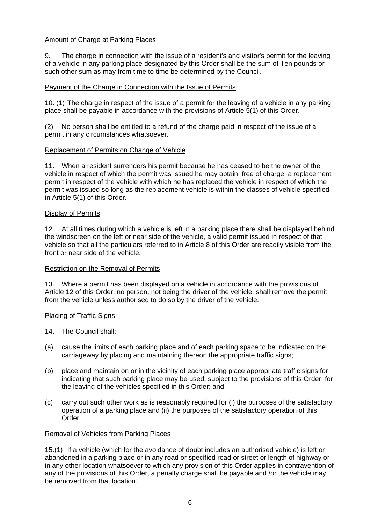# Amount of Charge at Parking Places

9. The charge in connection with the issue of a resident's and visitor's permit for the leaving of a vehicle in any parking place designated by this Order shall be the sum of Ten pounds or such other sum as may from time to time be determined by the Council.

## Payment of the Charge in Connection with the Issue of Permits

10. (1) The charge in respect of the issue of a permit for the leaving of a vehicle in any parking place shall be payable in accordance with the provisions of Article 5(1) of this Order.

(2) No person shall be entitled to a refund of the charge paid in respect of the issue of a permit in any circumstances whatsoever.

## Replacement of Permits on Change of Vehicle

11. When a resident surrenders his permit because he has ceased to be the owner of the vehicle in respect of which the permit was issued he may obtain, free of charge, a replacement permit in respect of the vehicle with which he has replaced the vehicle in respect of which the permit was issued so long as the replacement vehicle is within the classes of vehicle specified in Article 5(1) of this Order.

#### **Display of Permits Contract Contract Contract Contract Contract Contract Contract Contract Contract Contract Contract Contract Contract Contract Contract Contract Contract Contract Contract Contract Contract Contract Co**

12. At all times during which a vehicle is left in a parking place there shall be displayed behind the windscreen on the left or near side of the vehicle, a valid permit issued in respect of that vehicle so that all the particulars referred to in Article 8 of this Order are readily visible from the front or near side of the vehicle.

## Restriction on the Removal of Permits

13. Where a permit has been displayed on a vehicle in accordance with the provisions of Article 12 of this Order, no person, not being the driver of the vehicle, shall remove the permit from the vehicle unless authorised to do so by the driver of the vehicle.

## **Placing of Traffic Signs Contract Contract Contract Contract Contract Contract Contract Contract Contract Contract Contract Contract Contract Contract Contract Contract Contract Contract Contract Contract Contract Contr**

- 14. The Council shall:-
- (a) cause the limits of each parking place and of each parking space to be indicated on the carriageway by placing and maintaining thereon the appropriate traffic signs;
- (b) place and maintain on or in the vicinity of each parking place appropriate traffic signs for indicating that such parking place may be used, subject to the provisions of this Order, for the leaving of the vehicles specified in this Order; and
- (c) carry out such other work as is reasonably required for (i) the purposes of the satisfactory operation of a parking place and (ii) the purposes of the satisfactory operation of this Order.

## Removal of Vehicles from Parking Places

15.(1) If a vehicle (which for the avoidance of doubt includes an authorised vehicle) is left or abandoned in a parking place or in any road or specified road or street or length of highway or in any other location whatsoever to which any provision of this Order applies in contravention of any of the provisions of this Order, a penalty charge shall be payable and /or the vehicle may be removed from that location.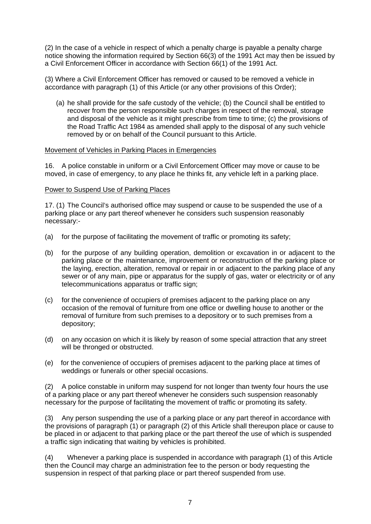(2) In the case of a vehicle in respect of which a penalty charge is payable a penalty charge notice showing the information required by Section 66(3) of the 1991 Act may then be issued by a Civil Enforcement Officer in accordance with Section 66(1) of the 1991 Act.

(3) Where a Civil Enforcement Officer has removed or caused to be removed a vehicle in accordance with paragraph (1) of this Article (or any other provisions of this Order);

(a) he shall provide for the safe custody of the vehicle; (b) the Council shall be entitled to recover from the person responsible such charges in respect of the removal, storage and disposal of the vehicle as it might prescribe from time to time; (c) the provisions of the Road Traffic Act 1984 as amended shall apply to the disposal of any such vehicle removed by or on behalf of the Council pursuant to this Article.

#### Movement of Vehicles in Parking Places in Emergencies

16. A police constable in uniform or a Civil Enforcement Officer may move or cause to be moved, in case of emergency, to any place he thinks fit, any vehicle left in a parking place.

#### Power to Suspend Use of Parking Places

17. (1) The Council's authorised office may suspend or cause to be suspended the use of a parking place or any part thereof whenever he considers such suspension reasonably necessary:-

- (a) for the purpose of facilitating the movement of traffic or promoting its safety;
- (b) for the purpose of any building operation, demolition or excavation in or adjacent to the parking place or the maintenance, improvement or reconstruction of the parking place or the laying, erection, alteration, removal or repair in or adjacent to the parking place of any sewer or of any main, pipe or apparatus for the supply of gas, water or electricity or of any telecommunications apparatus or traffic sign;
- (c) for the convenience of occupiers of premises adjacent to the parking place on any occasion of the removal of furniture from one office or dwelling house to another or the removal of furniture from such premises to a depository or to such premises from a depository;
- (d) on any occasion on which it is likely by reason of some special attraction that any street will be thronged or obstructed.
- (e) for the convenience of occupiers of premises adjacent to the parking place at times of weddings or funerals or other special occasions.

(2) A police constable in uniform may suspend for not longer than twenty four hours the use of a parking place or any part thereof whenever he considers such suspension reasonably necessary for the purpose of facilitating the movement of traffic or promoting its safety.

(3) Any person suspending the use of a parking place or any part thereof in accordance with the provisions of paragraph (1) or paragraph (2) of this Article shall thereupon place or cause to be placed in or adjacent to that parking place or the part thereof the use of which is suspended a traffic sign indicating that waiting by vehicles is prohibited.

(4) Whenever a parking place is suspended in accordance with paragraph (1) of this Article then the Council may charge an administration fee to the person or body requesting the suspension in respect of that parking place or part thereof suspended from use.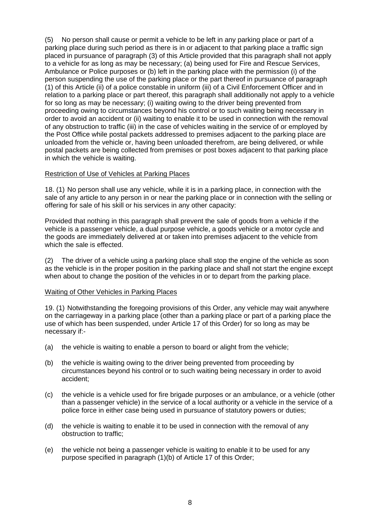(5) No person shall cause or permit a vehicle to be left in any parking place or part of a parking place during such period as there is in or adjacent to that parking place a traffic sign placed in pursuance of paragraph (3) of this Article provided that this paragraph shall not apply to a vehicle for as long as may be necessary; (a) being used for Fire and Rescue Services, Ambulance or Police purposes or (b) left in the parking place with the permission (i) of the person suspending the use of the parking place or the part thereof in pursuance of paragraph (1) of this Article (ii) of a police constable in uniform (iii) of a Civil Enforcement Officer and in relation to a parking place or part thereof, this paragraph shall additionally not apply to a vehicle for so long as may be necessary; (i) waiting owing to the driver being prevented from proceeding owing to circumstances beyond his control or to such waiting being necessary in order to avoid an accident or (ii) waiting to enable it to be used in connection with the removal of any obstruction to traffic (iii) in the case of vehicles waiting in the service of or employed by the Post Office while postal packets addressed to premises adjacent to the parking place are unloaded from the vehicle or, having been unloaded therefrom, are being delivered, or while postal packets are being collected from premises or post boxes adjacent to that parking place in which the vehicle is waiting.

#### Restriction of Use of Vehicles at Parking Places

18. (1) No person shall use any vehicle, while it is in a parking place, in connection with the sale of any article to any person in or near the parking place or in connection with the selling or offering for sale of his skill or his services in any other capacity:

Provided that nothing in this paragraph shall prevent the sale of goods from a vehicle if the vehicle is a passenger vehicle, a dual purpose vehicle, a goods vehicle or a motor cycle and the goods are immediately delivered at or taken into premises adjacent to the vehicle from which the sale is effected.

(2) The driver of a vehicle using a parking place shall stop the engine of the vehicle as soon as the vehicle is in the proper position in the parking place and shall not start the engine except when about to change the position of the vehicles in or to depart from the parking place.

## Waiting of Other Vehicles in Parking Places

19. (1) Notwithstanding the foregoing provisions of this Order, any vehicle may wait anywhere on the carriageway in a parking place (other than a parking place or part of a parking place the use of which has been suspended, under Article 17 of this Order) for so long as may be necessary if:-

- (a) the vehicle is waiting to enable a person to board or alight from the vehicle;
- (b) the vehicle is waiting owing to the driver being prevented from proceeding by circumstances beyond his control or to such waiting being necessary in order to avoid accident;
- (c) the vehicle is a vehicle used for fire brigade purposes or an ambulance, or a vehicle (other than a passenger vehicle) in the service of a local authority or a vehicle in the service of a police force in either case being used in pursuance of statutory powers or duties;
- (d) the vehicle is waiting to enable it to be used in connection with the removal of any obstruction to traffic;
- (e) the vehicle not being a passenger vehicle is waiting to enable it to be used for any purpose specified in paragraph (1)(b) of Article 17 of this Order;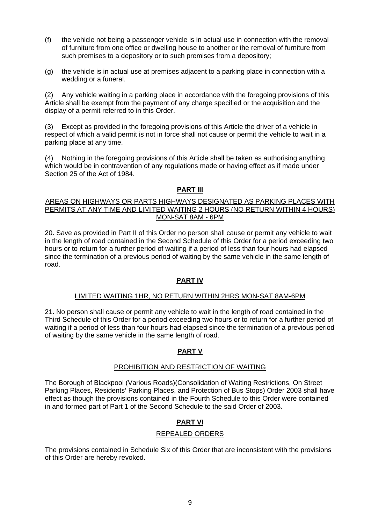- (f) the vehicle not being a passenger vehicle is in actual use in connection with the removal of furniture from one office or dwelling house to another or the removal of furniture from such premises to a depository or to such premises from a depository;
- (g) the vehicle is in actual use at premises adjacent to a parking place in connection with a wedding or a funeral.

(2) Any vehicle waiting in a parking place in accordance with the foregoing provisions of this Article shall be exempt from the payment of any charge specified or the acquisition and the display of a permit referred to in this Order.

(3) Except as provided in the foregoing provisions of this Article the driver of a vehicle in respect of which a valid permit is not in force shall not cause or permit the vehicle to wait in a parking place at any time.

(4) Nothing in the foregoing provisions of this Article shall be taken as authorising anything which would be in contravention of any regulations made or having effect as if made under Section 25 of the Act of 1984.

## **PART III**

#### AREAS ON HIGHWAYS OR PARTS HIGHWAYS DESIGNATED AS PARKING PLACES WITH PERMITS AT ANY TIME AND LIMITED WAITING 2 HOURS (NO RETURN WITHIN 4 HOURS) MON-SAT 8AM - 6PM

20. Save as provided in Part II of this Order no person shall cause or permit any vehicle to wait in the length of road contained in the Second Schedule of this Order for a period exceeding two hours or to return for a further period of waiting if a period of less than four hours had elapsed since the termination of a previous period of waiting by the same vehicle in the same length of road. And the contract of the contract of the contract of the contract of the contract of the contract of the contract of the contract of the contract of the contract of the contract of the contract of the contract of the

## **PART IV**

## LIMITED WAITING 1HR, NO RETURN WITHIN 2HRS MON-SAT 8AM-6PM

21. No person shall cause or permit any vehicle to wait in the length of road contained in the Third Schedule of this Order for a period exceeding two hours or to return for a further period of waiting if a period of less than four hours had elapsed since the termination of a previous period of waiting by the same vehicle in the same length of road.

# **PART V**

## PROHIBITION AND RESTRICTION OF WAITING

The Borough of Blackpool (Various Roads)(Consolidation of Waiting Restrictions, On Street Parking Places, Residents' Parking Places, and Protection of Bus Stops) Order 2003 shall have effect as though the provisions contained in the Fourth Schedule to this Order were contained in and formed part of Part 1 of the Second Schedule to the said Order of 2003.

# **PART VI**

## REPEALED ORDERS

The provisions contained in Schedule Six of this Order that are inconsistent with the provisions of this Order are hereby revoked.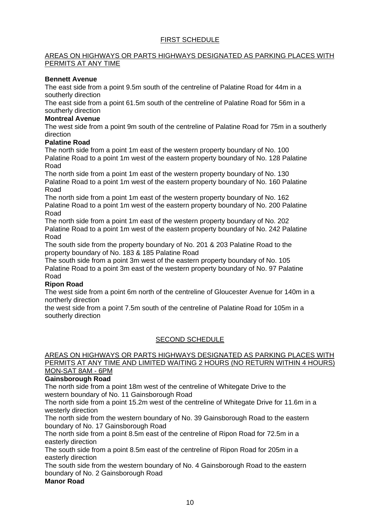# FIRST SCHEDULE

# AREAS ON HIGHWAYS OR PARTS HIGHWAYS DESIGNATED AS PARKING PLACES WITH PERMITS AT ANY TIME

#### **Bennett Avenue**

The east side from a point 9.5m south of the centreline of Palatine Road for 44m in a southerly direction

The east side from a point 61.5m south of the centreline of Palatine Road for 56m in a southerly direction

#### **Montreal Avenue**

The west side from a point 9m south of the centreline of Palatine Road for 75m in a southerly direction and the contract of the contract of the contract of the contract of the contract of the contract of the contract of the contract of the contract of the contract of the contract of the contract of the contract of

#### **Palatine Road**

The north side from a point 1m east of the western property boundary of No. 100 Palatine Road to a point 1m west of the eastern property boundary of No. 128 Palatine Road **Road Road Road Road Road Road Road Road Road Road Road Road Road Road Road Road Road Road Road Road Road Road Road Road Road Road Road Road Road Road Road**

The north side from a point 1m east of the western property boundary of No. 130 Palatine Road to a point 1m west of the eastern property boundary of No. 160 Palatine Road **Road Road Road Road Road Road Road Road Road Road Road Road Road Road Road Road Road Road Road Road Road Road Road Road Road Road Road Road Road Road Road**

The north side from a point 1m east of the western property boundary of No. 162 Palatine Road to a point 1m west of the eastern property boundary of No. 200 Palatine Road **Road Road Road Road Road Road Road Road Road Road Road Road Road Road Road Road Road Road Road Road Road Road Road Road Road Road Road Road Road Road Road**

The north side from a point 1m east of the western property boundary of No. 202 Palatine Road to a point 1m west of the eastern property boundary of No. 242 Palatine Road **Road Road Road Road Road Road Road Road Road Road Road Road Road Road Road Road Road Road Road Road Road Road Road Road Road Road Road Road Road Road Road**

The south side from the property boundary of No. 201 & 203 Palatine Road to the property boundary of No. 183 & 185 Palatine Road

The south side from a point 3m west of the eastern property boundary of No. 105 Palatine Road to a point 3m east of the western property boundary of No. 97 Palatine Road **Road Road Road Road Road Road Road Road Road Road Road Road Road Road Road Road Road Road Road Road Road Road Road Road Road Road Road Road Road Road Road**

#### **Ripon Road**

The west side from a point 6m north of the centreline of Gloucester Avenue for 140m in a northerly direction

the west side from a point 7.5m south of the centreline of Palatine Road for 105m in a southerly direction **that is a set of the set of the set of the set of the set of the set of the set of the set of the set of the set of the set of the set of the set of the set of the set of the set of the set of the set** 

## SECOND SCHEDULE AND THE SECOND SCHEDULE

#### AREAS ON HIGHWAYS OR PARTS HIGHWAYS DESIGNATED AS PARKING PLACES WITH PERMITS AT ANY TIME AND LIMITED WAITING 2 HOURS (NO RETURN WITHIN 4 HOURS) MON-SAT 8AM - 6PM

# **Gainsborough Road**

The north side from a point 18m west of the centreline of Whitegate Drive to the western boundary of No. 11 Gainsborough Road

The north side from a point 15.2m west of the centreline of Whitegate Drive for 11.6m in a westerly direction

The north side from the western boundary of No. 39 Gainsborough Road to the eastern boundary of No. 17 Gainsborough Road

The north side from a point 8.5m east of the centreline of Ripon Road for 72.5m in a easterly direction

The south side from a point 8.5m east of the centreline of Ripon Road for 205m in a easterly direction

The south side from the western boundary of No. 4 Gainsborough Road to the eastern boundary of No. 2 Gainsborough Road

# **Manor Road**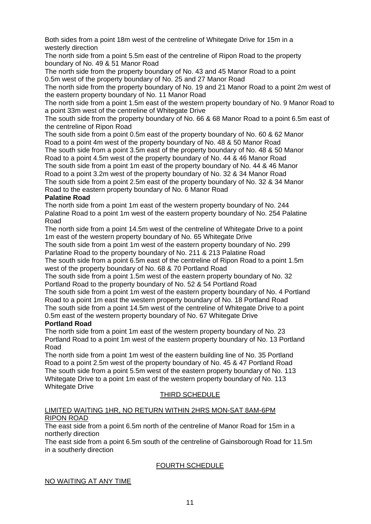Both sides from a point 18m west of the centreline of Whitegate Drive for 15m in a westerly direction

The north side from a point 5.5m east of the centreline of Ripon Road to the property boundary of No. 49 & 51 Manor Road

The north side from the property boundary of No. 43 and 45 Manor Road to a point 0.5m west of the property boundary of No. 25 and 27 Manor Road

The north side from the property boundary of No. 19 and 21 Manor Road to a point 2m west of the eastern property boundary of No. 11 Manor Road

The north side from a point 1.5m east of the western property boundary of No. 9 Manor Road to a point 33m west of the centreline of Whitegate Drive

The south side from the property boundary of No. 66 & 68 Manor Road to a point 6.5m east of the centreline of Ripon Road

The south side from a point 0.5m east of the property boundary of No. 60 & 62 Manor Road to a point 4m west of the property boundary of No. 48 & 50 Manor Road

The south side from a point 3.5m east of the property boundary of No. 48 & 50 Manor Road to a point 4.5m west of the property boundary of No. 44 & 46 Manor Road The south side from a point 1m east of the property boundary of No. 44 & 46 Manor Road to a point 3.2m west of the property boundary of No. 32 & 34 Manor Road

The south side from a point 2.5m east of the property boundary of No. 32 & 34 Manor Road to the eastern property boundary of No. 6 Manor Road

#### **Palatine Road**

The north side from a point 1m east of the western property boundary of No. 244 Palatine Road to a point 1m west of the eastern property boundary of No. 254 Palatine Road **Road Road Road Road Road Road Road Road Road Road Road Road Road Road Road Road Road Road Road Road Road Road Road Road Road Road Road Road Road Road Road**

The north side from a point 14.5m west of the centreline of Whitegate Drive to a point 1m east of the western property boundary of No. 65 Whitegate Drive

The south side from a point 1m west of the eastern property boundary of No. 299 Parlatine Road to the property boundary of No. 211 & 213 Palatine Road

The south side from a point 6.5m east of the centreline of Ripon Road to a point 1.5m west of the property boundary of No. 68 & 70 Portland Road

The south side from a point 1.5m west of the eastern property boundary of No. 32 Portland Road to the property boundary of No. 52 & 54 Portland Road The south side from a point 1m west of the eastern property boundary of No. 4 Portland Road to a point 1m east the western property boundary of No. 18 Portland Road The south side from a point 14.5m west of the centreline of Whitegate Drive to a point 0.5m east of the western property boundary of No. 67 Whitegate Drive

# **Portland Road**

The north side from a point 1m east of the western property boundary of No. 23 Portland Road to a point 1m west of the eastern property boundary of No. 13 Portland Road **Road Road Road Road Road Road Road Road Road Road Road Road Road Road Road Road Road Road Road Road Road Road Road Road Road Road Road Road Road Road Road**

The north side from a point 1m west of the eastern building line of No. 35 Portland Road to a point 2.5m west of the property boundary of No. 45 & 47 Portland Road The south side from a point 5.5m west of the eastern property boundary of No. 113 Whitegate Drive to a point 1m east of the western property boundary of No. 113 Whitegate Drive

## THIRD SCHEDULE

#### LIMITED WAITING 1HR, NO RETURN WITHIN 2HRS MON-SAT 8AM-6PM RIPON ROAD

The east side from a point 6.5m north of the centreline of Manor Road for 15m in a northerly direction

The east side from a point 6.5m south of the centreline of Gainsborough Road for 11.5m in a southerly direction

## FOURTH SCHEDULE

## NO WAITING AT ANY TIME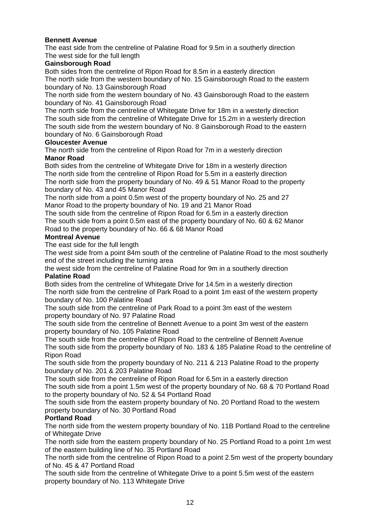# **Bennett Avenue**

The east side from the centreline of Palatine Road for 9.5m in a southerly direction The west side for the full length

# **Gainsborough Road**

Both sides from the centreline of Ripon Road for 8.5m in a easterly direction The north side from the western boundary of No. 15 Gainsborough Road to the eastern boundary of No. 13 Gainsborough Road

The north side from the western boundary of No. 43 Gainsborough Road to the eastern boundary of No. 41 Gainsborough Road

The north side from the centreline of Whitegate Drive for 18m in a westerly direction The south side from the centreline of Whitegate Drive for 15.2m in a westerly direction The south side from the western boundary of No. 8 Gainsborough Road to the eastern boundary of No. 6 Gainsborough Road

## **Gloucester Avenue**

The north side from the centreline of Ripon Road for 7m in a westerly direction **Manor Road**

Both sides from the centreline of Whitegate Drive for 18m in a westerly direction The north side from the centreline of Ripon Road for 5.5m in a easterly direction The north side from the property boundary of No. 49 & 51 Manor Road to the property boundary of No. 43 and 45 Manor Road

The north side from a point 0.5m west of the property boundary of No. 25 and 27 Manor Road to the property boundary of No. 19 and 21 Manor Road

The south side from the centreline of Ripon Road for 6.5m in a easterly direction The south side from a point 0.5m east of the property boundary of No. 60 & 62 Manor Road to the property boundary of No. 66 & 68 Manor Road

# **Montreal Avenue**

The east side for the full length

The west side from a point 84m south of the centreline of Palatine Road to the most southerly end of the street including the turning area

the west side from the centreline of Palatine Road for 9m in a southerly direction **Palatine Road**

Both sides from the centreline of Whitegate Drive for 14.5m in a westerly direction The north side from the centreline of Park Road to a point 1m east of the western property boundary of No. 100 Palatine Road

The south side from the centreline of Park Road to a point 3m east of the western property boundary of No. 97 Palatine Road

The south side from the centreline of Bennett Avenue to a point 3m west of the eastern property boundary of No. 105 Palatine Road

The south side from the centreline of Ripon Road to the centreline of Bennett Avenue The south side from the property boundary of No. 183 & 185 Palatine Road to the centreline of Ripon Road

The south side from the property boundary of No. 211 & 213 Palatine Road to the property boundary of No. 201 & 203 Palatine Road

The south side from the centreline of Ripon Road for 6.5m in a easterly direction The south side from a point 1.5m west of the property boundary of No. 68 & 70 Portland Road to the property boundary of No. 52 & 54 Portland Road

The south side from the eastern property boundary of No. 20 Portland Road to the western property boundary of No. 30 Portland Road

## **Portland Road**

The north side from the western property boundary of No. 11B Portland Road to the centreline of Whitegate Drive

The north side from the eastern property boundary of No. 25 Portland Road to a point 1m west of the eastern building line of No. 35 Portland Road

The north side from the centreline of Ripon Road to a point 2.5m west of the property boundary of No. 45 & 47 Portland Road

The south side from the centreline of Whitegate Drive to a point 5.5m west of the eastern property boundary of No. 113 Whitegate Drive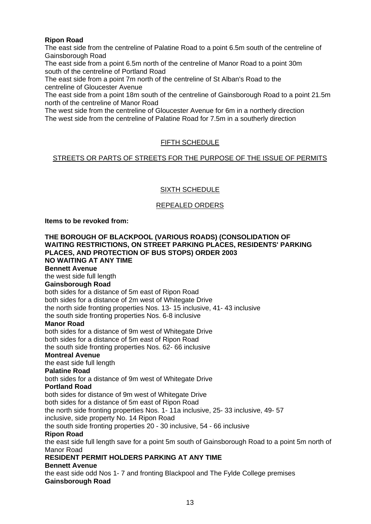# **Ripon Road**

The east side from the centreline of Palatine Road to a point 6.5m south of the centreline of Gainsborough Road

The east side from a point 6.5m north of the centreline of Manor Road to a point 30m south of the centreline of Portland Road

The east side from a point 7m north of the centreline of St Alban's Road to the centreline of Gloucester Avenue

The east side from a point 18m south of the centreline of Gainsborough Road to a point 21.5m north of the centreline of Manor Road

The west side from the centreline of Gloucester Avenue for 6m in a northerly direction The west side from the centreline of Palatine Road for 7.5m in a southerly direction

# FIFTH SCHEDULE

## STREETS OR PARTS OF STREETS FOR THE PURPOSE OF THE ISSUE OF PERMITS

# SIXTH SCHEDULE

## REPEALED ORDERS

**Items to be revoked from:**

**THE BOROUGH OF BLACKPOOL (VARIOUS ROADS) (CONSOLIDATION OF WAITING RESTRICTIONS, ON STREET PARKING PLACES, RESIDENTS' PARKING PLACES, AND PROTECTION OF BUS STOPS) ORDER 2003 NO WAITING AT ANY TIME Bennett Avenue** the west side full length **Gainsborough Road** both sides for a distance of 5m east of Ripon Road both sides for a distance of 2m west of Whitegate Drive the north side fronting properties Nos. 13- 15 inclusive, 41- 43 inclusive the south side fronting properties Nos. 6-8 inclusive **Manor Road** both sides for a distance of 9m west of Whitegate Drive both sides for a distance of 5m east of Ripon Road the south side fronting properties Nos. 62- 66 inclusive **Montreal Avenue** the east side full length **Palatine Road** both sides for a distance of 9m west of Whitegate Drive **Portland Road** both sides for distance of 9m west of Whitegate Drive both sides for a distance of 5m east of Ripon Road the north side fronting properties Nos. 1- 11a inclusive, 25- 33 inclusive, 49- 57 inclusive, side property No. 14 Ripon Road the south side fronting properties 20 - 30 inclusive, 54 - 66 inclusive **Ripon Road** the east side full length save for a point 5m south of Gainsborough Road to a point 5m north of Manor Road **RESIDENT PERMIT HOLDERS PARKING AT ANY TIME Bennett Avenue** the east side odd Nos 1- 7 and fronting Blackpool and The Fylde College premises **Gainsborough Road**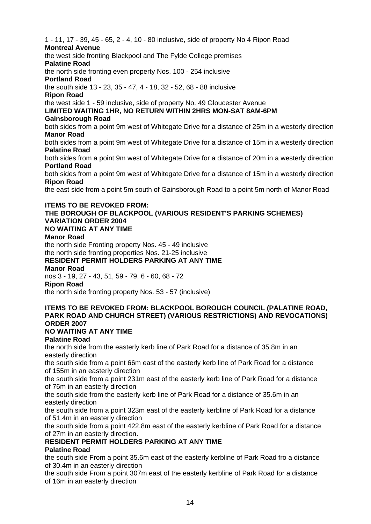1 - 11, 17 - 39, 45 - 65, 2 - 4, 10 - 80 inclusive, side of property No 4 Ripon Road **Montreal Avenue** the west side fronting Blackpool and The Fylde College premises **Palatine Road**

the north side fronting even property Nos. 100 - 254 inclusive

**Portland Road**

the south side 13 - 23, 35 - 47, 4 - 18, 32 - 52, 68 - 88 inclusive **Ripon Road**

the west side 1 - 59 inclusive, side of property No. 49 Gloucester Avenue

**LIMITED WAITING 1HR, NO RETURN WITHIN 2HRS MON-SAT 8AM-6PM Gainsborough Road**

both sides from a point 9m west of Whitegate Drive for a distance of 25m in a westerly direction **Manor Road**

both sides from a point 9m west of Whitegate Drive for a distance of 15m in a westerly direction **Palatine Road**

both sides from a point 9m west of Whitegate Drive for a distance of 20m in a westerly direction **Portland Road**

both sides from a point 9m west of Whitegate Drive for a distance of 15m in a westerly direction **Ripon Road**

the east side from a point 5m south of Gainsborough Road to a point 5m north of Manor Road

# **ITEMS TO BE REVOKED FROM:**

#### **THE BOROUGH OF BLACKPOOL (VARIOUS RESIDENT'S PARKING SCHEMES) VARIATION ORDER 2004 NO WAITING AT ANY TIME Manor Road**

the north side Fronting property Nos. 45 - 49 inclusive the north side fronting properties Nos. 21-25 inclusive

# **RESIDENT PERMIT HOLDERS PARKING AT ANY TIME**

**Manor Road**

nos 3 - 19, 27 - 43, 51, 59 - 79, 6 - 60, 68 - 72

#### **Ripon Road**

the north side fronting property Nos. 53 - 57 (inclusive)

# **ITEMS TO BE REVOKED FROM: BLACKPOOL BOROUGH COUNCIL (PALATINE ROAD, PARK ROAD AND CHURCH STREET) (VARIOUS RESTRICTIONS) AND REVOCATIONS) ORDER 2007**

## **NO WAITING AT ANY TIME**

## **Palatine Road**

the north side from the easterly kerb line of Park Road for a distance of 35.8m in an easterly direction

the south side from a point 66m east of the easterly kerb line of Park Road for a distance of 155m in an easterly direction

the south side from a point 231m east of the easterly kerb line of Park Road for a distance of 76m in an easterly direction

the south side from the easterly kerb line of Park Road for a distance of 35.6m in an easterly direction **the contract of the contract of the contract of the contract of the contract of the contract of the contract of the contract of the contract of the contract of the contract of the contract of the contra** 

the south side from a point 323m east of the easterly kerbline of Park Road for a distance of 51.4m in an easterly direction

the south side from a point 422.8m east of the easterly kerbline of Park Road for a distance of 27m in an easterly direction.

# **RESIDENT PERMIT HOLDERS PARKING AT ANY TIME**

## **Palatine Road**

the south side From a point 35.6m east of the easterly kerbline of Park Road fro a distance of 30.4m in an easterly direction

the south side From a point 307m east of the easterly kerbline of Park Road for a distance of 16m in an easterly direction